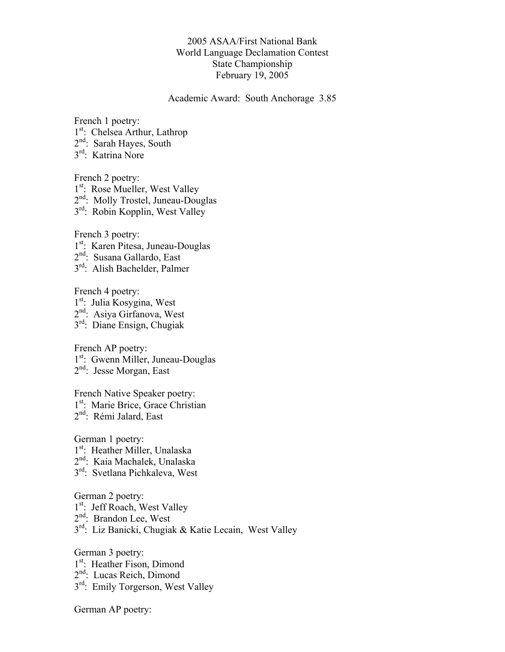## 2005 ASAA/First National Bank World Language Declamation Contest State Championship February 19, 2005

Academic Award: South Anchorage 3.85

French 1 poetry: 1<sup>st</sup>: Chelsea Arthur, Lathrop 2<sup>nd</sup>: Sarah Hayes, South 3rd: Katrina Nore

French 2 poetry: 1<sup>st</sup>: Rose Mueller, West Valley 2<sup>nd</sup>: Molly Trostel, Juneau-Douglas 3rd: Robin Kopplin, West Valley

French 3 poetry:

1<sup>st</sup>: Karen Pitesa, Juneau-Douglas

- 2<sup>nd</sup>: Susana Gallardo, East
- 3rd: Alish Bachelder, Palmer

French 4 poetry: 1<sup>st</sup>: Julia Kosygina, West 2<sup>nd</sup>: Asiya Girfanova, West 3rd: Diane Ensign, Chugiak

French AP poetry: 1<sup>st</sup>: Gwenn Miller, Juneau-Douglas 2<sup>nd</sup>: Jesse Morgan, East

French Native Speaker poetry:

1<sup>st</sup>: Marie Brice, Grace Christian

2<sup>nd</sup>: Rémi Jalard, East

German 1 poetry:

- 1<sup>st</sup>: Heather Miller, Unalaska
- 2<sup>nd</sup>: Kaia Machalek, Unalaska
- 3<sup>rd</sup>: Svetlana Pichkaleva, West

German 2 poetry:

- 1<sup>st</sup>: Jeff Roach, West Valley
- 2<sup>nd</sup>: Brandon Lee, West
- 3rd: Liz Banicki, Chugiak & Katie Lecain, West Valley

German 3 poetry:

- 1<sup>st</sup>: Heather Fison, Dimond
- 2<sup>nd</sup>: Lucas Reich, Dimond
- $3<sup>rd</sup>$ : Emily Torgerson, West Valley

German AP poetry: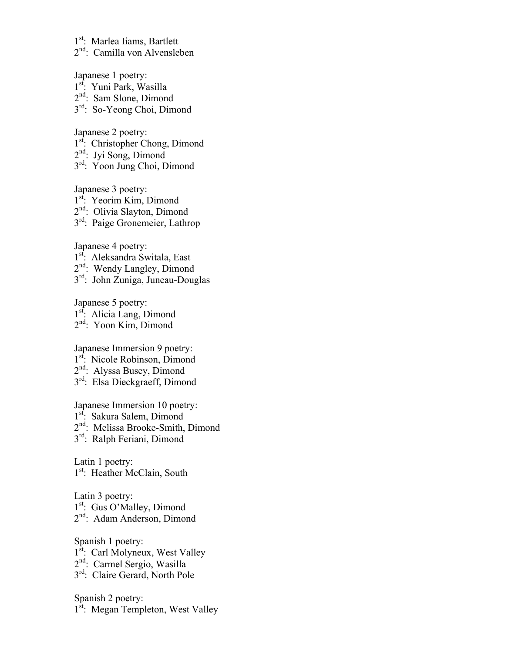1<sup>st</sup>: Marlea Iiams, Bartlett

2<sup>nd</sup>: Camilla von Alvensleben

Japanese 1 poetry:

- 1<sup>st</sup>: Yuni Park, Wasilla
- 2<sup>nd</sup>: Sam Slone, Dimond
- 3rd: So-Yeong Choi, Dimond

Japanese 2 poetry:

- 1<sup>st</sup>: Christopher Chong, Dimond
- $2<sup>nd</sup>$ : Jyi Song, Dimond
- 3<sup>rd</sup>: Yoon Jung Choi, Dimond

Japanese 3 poetry:

1<sup>st</sup>: Yeorim Kim, Dimond

2<sup>nd</sup>: Olivia Slayton, Dimond

3rd: Paige Gronemeier, Lathrop

Japanese 4 poetry:

- 1<sup>st</sup>: Aleksandra Switala, East
- 2<sup>nd</sup>: Wendy Langley, Dimond
- 3rd: John Zuniga, Juneau-Douglas

Japanese 5 poetry:

1<sup>st</sup>: Alicia Lang, Dimond

2nd: Yoon Kim, Dimond

Japanese Immersion 9 poetry:

1<sup>st</sup>: Nicole Robinson, Dimond

- 2<sup>nd</sup>: Alyssa Busey, Dimond
- 3rd: Elsa Dieckgraeff, Dimond

Japanese Immersion 10 poetry:

1<sup>st</sup>: Sakura Salem, Dimond

2<sup>nd</sup>: Melissa Brooke-Smith, Dimond

3<sup>rd</sup>: Ralph Feriani, Dimond

Latin 1 poetry: 1<sup>st</sup>: Heather McClain, South

Latin 3 poetry: 1<sup>st</sup>: Gus O'Malley, Dimond 2<sup>nd</sup>: Adam Anderson, Dimond

Spanish 1 poetry: 1<sup>st</sup>: Carl Molyneux, West Valley 2nd: Carmel Sergio, Wasilla 3<sup>rd</sup>: Claire Gerard, North Pole

Spanish 2 poetry: 1<sup>st</sup>: Megan Templeton, West Valley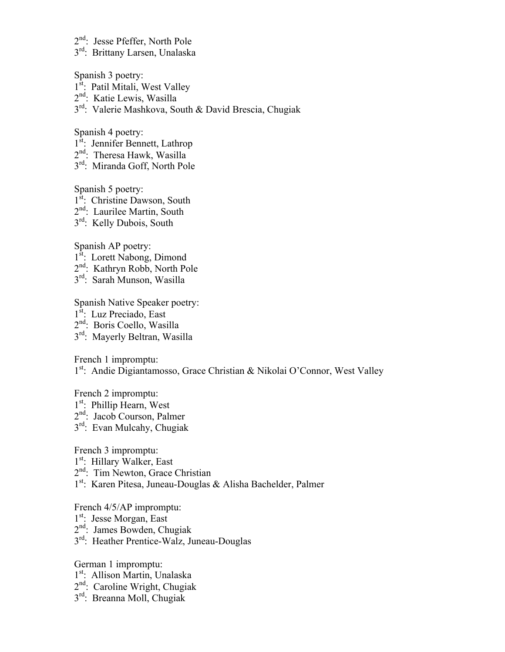- 2<sup>nd</sup>: Jesse Pfeffer, North Pole
- 3<sup>rd</sup>: Brittany Larsen, Unalaska

Spanish 3 poetry:

- 1<sup>st</sup>: Patil Mitali, West Valley
- 2<sup>nd</sup>: Katie Lewis, Wasilla

3rd: Valerie Mashkova, South & David Brescia, Chugiak

Spanish 4 poetry:

- 1<sup>st</sup>: Jennifer Bennett, Lathrop
- $2<sup>nd</sup>$ : Theresa Hawk, Wasilla
- 3rd: Miranda Goff, North Pole

Spanish 5 poetry:

- 1<sup>st</sup>: Christine Dawson, South
- 2<sup>nd</sup>: Laurilee Martin, South
- $3<sup>rd</sup>$ : Kelly Dubois, South

Spanish AP poetry:

- 1<sup>st</sup>: Lorett Nabong, Dimond
- 2nd: Kathryn Robb, North Pole
- 3rd: Sarah Munson, Wasilla

Spanish Native Speaker poetry:

- 1<sup>st</sup>: Luz Preciado, East
- 2<sup>nd</sup>: Boris Coello, Wasilla
- 3<sup>rd</sup>: Mayerly Beltran, Wasilla

French 1 impromptu:

## 1<sup>st</sup>: Andie Digiantamosso, Grace Christian & Nikolai O'Connor, West Valley

French 2 impromptu:

1<sup>st</sup>: Phillip Hearn, West

2<sup>nd</sup>: Jacob Courson, Palmer

3<sup>rd</sup>: Evan Mulcahy, Chugiak

French 3 impromptu:

1<sup>st</sup>: Hillary Walker, East

2<sup>nd</sup>: Tim Newton, Grace Christian

1st: Karen Pitesa, Juneau-Douglas & Alisha Bachelder, Palmer

French 4/5/AP impromptu:

- 1<sup>st</sup>: Jesse Morgan, East
- 2<sup>nd</sup>: James Bowden, Chugiak
- 3<sup>rd</sup>: Heather Prentice-Walz, Juneau-Douglas

German 1 impromptu:

- 1<sup>st</sup>: Allison Martin, Unalaska
- 2<sup>nd</sup>: Caroline Wright, Chugiak
- 3rd: Breanna Moll, Chugiak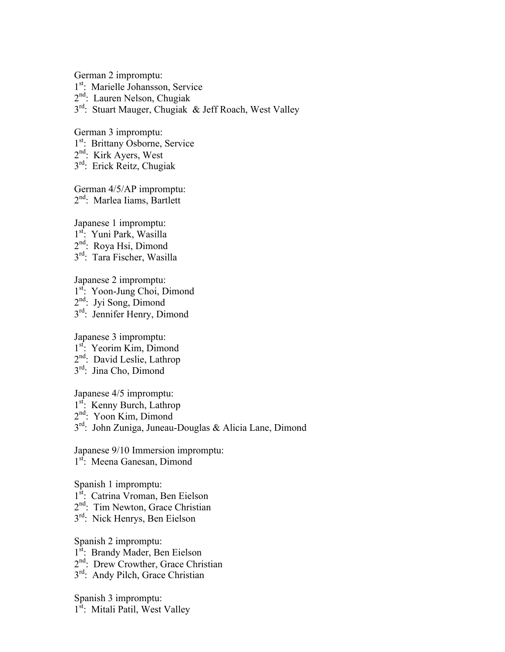German 2 impromptu:

- 1<sup>st</sup>: Marielle Johansson, Service
- 2nd: Lauren Nelson, Chugiak

3<sup>rd</sup>: Stuart Mauger, Chugiak & Jeff Roach, West Valley

German 3 impromptu:

- 1<sup>st</sup>: Brittany Osborne, Service
- 2<sup>nd</sup>: Kirk Ayers, West
- 3rd: Erick Reitz, Chugiak

German 4/5/AP impromptu: 2<sup>nd</sup>: Marlea Iiams, Bartlett

Japanese 1 impromptu:

- 1<sup>st</sup>: Yuni Park, Wasilla
- 2<sup>nd</sup>: Roya Hsi, Dimond
- 3rd: Tara Fischer, Wasilla

Japanese 2 impromptu:

- 1st. Yoon-Jung Choi, Dimond
- 2nd: Jyi Song, Dimond
- 3rd: Jennifer Henry, Dimond

Japanese 3 impromptu:

- 1<sup>st</sup>: Yeorim Kim, Dimond
- 2<sup>nd</sup>: David Leslie, Lathrop
- 3<sup>rd</sup>: Jina Cho, Dimond

Japanese 4/5 impromptu:

- 1<sup>st</sup>: Kenny Burch, Lathrop
- 2<sup>nd</sup>: Yoon Kim, Dimond

3rd: John Zuniga, Juneau-Douglas & Alicia Lane, Dimond

Japanese 9/10 Immersion impromptu: 1<sup>st</sup>: Meena Ganesan, Dimond

Spanish 1 impromptu:

- 1<sup>st</sup>: Catrina Vroman, Ben Eielson
- 2<sup>nd</sup>: Tim Newton, Grace Christian
- 3<sup>rd</sup>: Nick Henrys, Ben Eielson

Spanish 2 impromptu: 1<sup>st</sup>: Brandy Mader, Ben Eielson 2<sup>nd</sup>: Drew Crowther, Grace Christian 3rd: Andy Pilch, Grace Christian

Spanish 3 impromptu: 1<sup>st</sup>: Mitali Patil, West Valley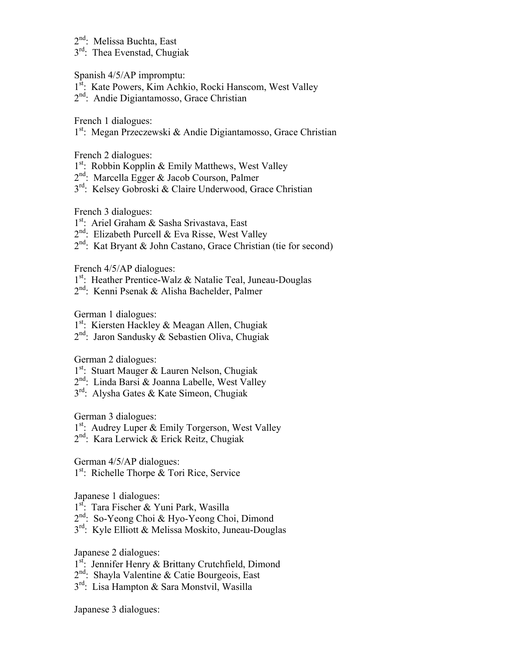- 2<sup>nd</sup>: Melissa Buchta, East
- 3rd: Thea Evenstad, Chugiak

Spanish 4/5/AP impromptu:

- 1<sup>st</sup>: Kate Powers, Kim Achkio, Rocki Hanscom, West Valley
- 2<sup>nd</sup>: Andie Digiantamosso, Grace Christian

French 1 dialogues:

1<sup>st</sup>: Megan Przeczewski & Andie Digiantamosso, Grace Christian

French 2 dialogues:

- $1<sup>st</sup>$ : Robbin Kopplin & Emily Matthews, West Valley
- 2<sup>nd</sup>: Marcella Egger & Jacob Courson, Palmer
- 3<sup>rd</sup>: Kelsey Gobroski & Claire Underwood, Grace Christian

French 3 dialogues:

- 1<sup>st</sup>: Ariel Graham & Sasha Srivastava, East
- $2<sup>nd</sup>$ : Elizabeth Purcell & Eva Risse, West Valley
- 2nd: Kat Bryant & John Castano, Grace Christian (tie for second)

French 4/5/AP dialogues:

- 1<sup>st</sup>: Heather Prentice-Walz & Natalie Teal, Juneau-Douglas
- 2<sup>nd</sup>: Kenni Psenak & Alisha Bachelder, Palmer

German 1 dialogues:

- 1<sup>st</sup>: Kiersten Hackley & Meagan Allen, Chugiak
- 2nd: Jaron Sandusky & Sebastien Oliva, Chugiak

German 2 dialogues:

- 1<sup>st</sup>: Stuart Mauger & Lauren Nelson, Chugiak
- $2<sup>nd</sup>$ : Linda Barsi & Joanna Labelle, West Valley
- 3rd: Alysha Gates & Kate Simeon, Chugiak

German 3 dialogues:

- 1<sup>st</sup>: Audrey Luper & Emily Torgerson, West Valley
- 2nd: Kara Lerwick & Erick Reitz, Chugiak

German 4/5/AP dialogues:

1<sup>st</sup>: Richelle Thorpe & Tori Rice, Service

Japanese 1 dialogues:

- 1<sup>st</sup>: Tara Fischer & Yuni Park, Wasilla
- 2<sup>nd</sup>: So-Yeong Choi & Hyo-Yeong Choi, Dimond
- 3<sup>rd</sup>: Kyle Elliott & Melissa Moskito, Juneau-Douglas

Japanese 2 dialogues:

- 1<sup>st</sup>: Jennifer Henry & Brittany Crutchfield, Dimond
- 2nd: Shayla Valentine & Catie Bourgeois, East
- 3<sup>rd</sup>: Lisa Hampton & Sara Monstvil, Wasilla

Japanese 3 dialogues: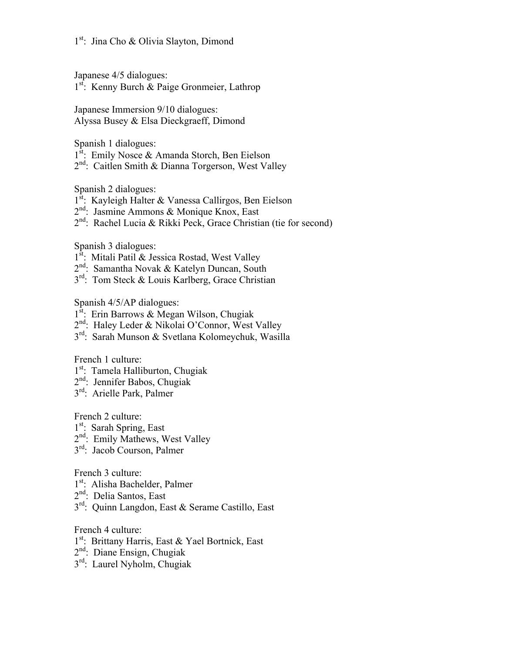Japanese 4/5 dialogues:

1<sup>st</sup>: Kenny Burch & Paige Gronmeier, Lathrop

Japanese Immersion 9/10 dialogues: Alyssa Busey & Elsa Dieckgraeff, Dimond

Spanish 1 dialogues:

- 1<sup>st</sup>: Emily Nosce & Amanda Storch, Ben Eielson
- 2<sup>nd</sup>: Caitlen Smith & Dianna Torgerson, West Valley

Spanish 2 dialogues:

- 1<sup>st</sup>: Kayleigh Halter & Vanessa Callirgos, Ben Eielson
- 2nd: Jasmine Ammons & Monique Knox, East
- 2<sup>nd</sup>: Rachel Lucia & Rikki Peck, Grace Christian (tie for second)

Spanish 3 dialogues:

- 1<sup>st</sup>: Mitali Patil & Jessica Rostad, West Valley
- 2nd: Samantha Novak & Katelyn Duncan, South
- 3<sup>rd</sup>: Tom Steck & Louis Karlberg, Grace Christian

Spanish 4/5/AP dialogues:

- $1^{st}$ : Erin Barrows & Megan Wilson, Chugiak
- 2<sup>nd</sup>: Haley Leder & Nikolai O'Connor, West Valley
- 3rd: Sarah Munson & Svetlana Kolomeychuk, Wasilla

French 1 culture:

- 1<sup>st</sup>: Tamela Halliburton, Chugiak
- $2<sup>nd</sup>$ : Jennifer Babos, Chugiak
- 3rd: Arielle Park, Palmer

French 2 culture:

- 1<sup>st</sup>: Sarah Spring, East
- 2<sup>nd</sup>: Emily Mathews, West Valley
- 3rd: Jacob Courson, Palmer

French 3 culture:

- 1<sup>st</sup>: Alisha Bachelder, Palmer
- 2<sup>nd</sup>: Delia Santos, East
- 3rd: Quinn Langdon, East & Serame Castillo, East

French 4 culture:

- 1<sup>st</sup>: Brittany Harris, East & Yael Bortnick, East
- 2nd: Diane Ensign, Chugiak
- 3<sup>rd</sup>: Laurel Nyholm, Chugiak